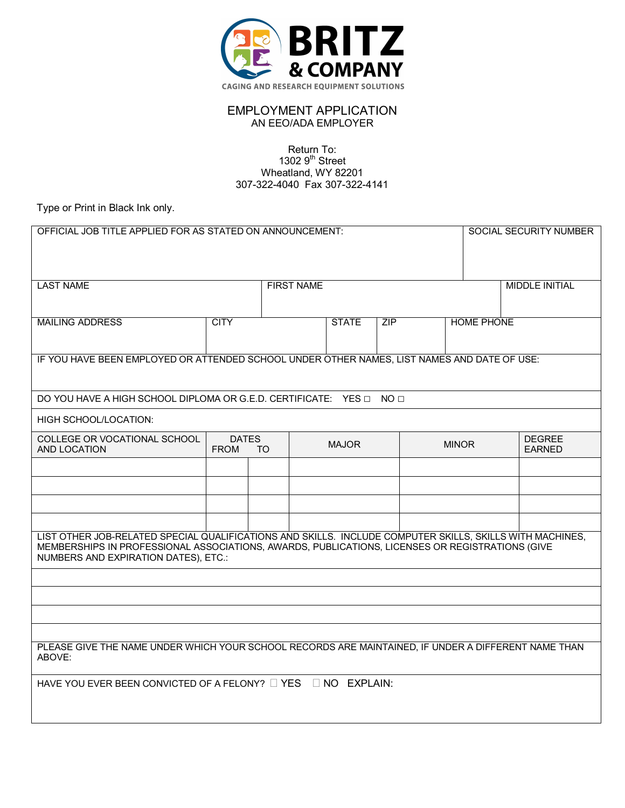

## EMPLOYMENT APPLICATION AN EEO/ADA EMPLOYER

Return To: 1302  $9<sup>th</sup>$  Street Wheatland, WY 82201 307-322-4040 Fax 307-322-4141

Type or Print in Black Ink only.

| OFFICIAL JOB TITLE APPLIED FOR AS STATED ON ANNOUNCEMENT:<br><b>SOCIAL SECURITY NUMBER</b>                                                                                                                                                          |                             |    |                   |              |     |                   |  |                                |
|-----------------------------------------------------------------------------------------------------------------------------------------------------------------------------------------------------------------------------------------------------|-----------------------------|----|-------------------|--------------|-----|-------------------|--|--------------------------------|
|                                                                                                                                                                                                                                                     |                             |    |                   |              |     |                   |  |                                |
| <b>LAST NAME</b>                                                                                                                                                                                                                                    |                             |    | <b>FIRST NAME</b> |              |     |                   |  | <b>MIDDLE INITIAL</b>          |
|                                                                                                                                                                                                                                                     |                             |    |                   |              |     |                   |  |                                |
| <b>MAILING ADDRESS</b>                                                                                                                                                                                                                              | <b>CITY</b>                 |    |                   | <b>STATE</b> | ZIP | <b>HOME PHONE</b> |  |                                |
|                                                                                                                                                                                                                                                     |                             |    |                   |              |     |                   |  |                                |
| IF YOU HAVE BEEN EMPLOYED OR ATTENDED SCHOOL UNDER OTHER NAMES, LIST NAMES AND DATE OF USE:                                                                                                                                                         |                             |    |                   |              |     |                   |  |                                |
|                                                                                                                                                                                                                                                     |                             |    |                   |              |     |                   |  |                                |
| DO YOU HAVE A HIGH SCHOOL DIPLOMA OR G.E.D. CERTIFICATE: YES □ NO □                                                                                                                                                                                 |                             |    |                   |              |     |                   |  |                                |
| HIGH SCHOOL/LOCATION:                                                                                                                                                                                                                               |                             |    |                   |              |     |                   |  |                                |
| COLLEGE OR VOCATIONAL SCHOOL<br>AND LOCATION                                                                                                                                                                                                        | <b>DATES</b><br><b>FROM</b> | TO |                   | <b>MAJOR</b> |     | <b>MINOR</b>      |  | <b>DEGREE</b><br><b>EARNED</b> |
|                                                                                                                                                                                                                                                     |                             |    |                   |              |     |                   |  |                                |
|                                                                                                                                                                                                                                                     |                             |    |                   |              |     |                   |  |                                |
|                                                                                                                                                                                                                                                     |                             |    |                   |              |     |                   |  |                                |
|                                                                                                                                                                                                                                                     |                             |    |                   |              |     |                   |  |                                |
| LIST OTHER JOB-RELATED SPECIAL QUALIFICATIONS AND SKILLS. INCLUDE COMPUTER SKILLS, SKILLS WITH MACHINES,<br>MEMBERSHIPS IN PROFESSIONAL ASSOCIATIONS, AWARDS, PUBLICATIONS, LICENSES OR REGISTRATIONS (GIVE<br>NUMBERS AND EXPIRATION DATES), ETC.: |                             |    |                   |              |     |                   |  |                                |
|                                                                                                                                                                                                                                                     |                             |    |                   |              |     |                   |  |                                |
|                                                                                                                                                                                                                                                     |                             |    |                   |              |     |                   |  |                                |
|                                                                                                                                                                                                                                                     |                             |    |                   |              |     |                   |  |                                |
|                                                                                                                                                                                                                                                     |                             |    |                   |              |     |                   |  |                                |
| PLEASE GIVE THE NAME UNDER WHICH YOUR SCHOOL RECORDS ARE MAINTAINED, IF UNDER A DIFFERENT NAME THAN<br>ABOVE:                                                                                                                                       |                             |    |                   |              |     |                   |  |                                |
| <b>YES</b><br>NO EXPLAIN:<br>HAVE YOU EVER BEEN CONVICTED OF A FELONY?                                                                                                                                                                              |                             |    |                   |              |     |                   |  |                                |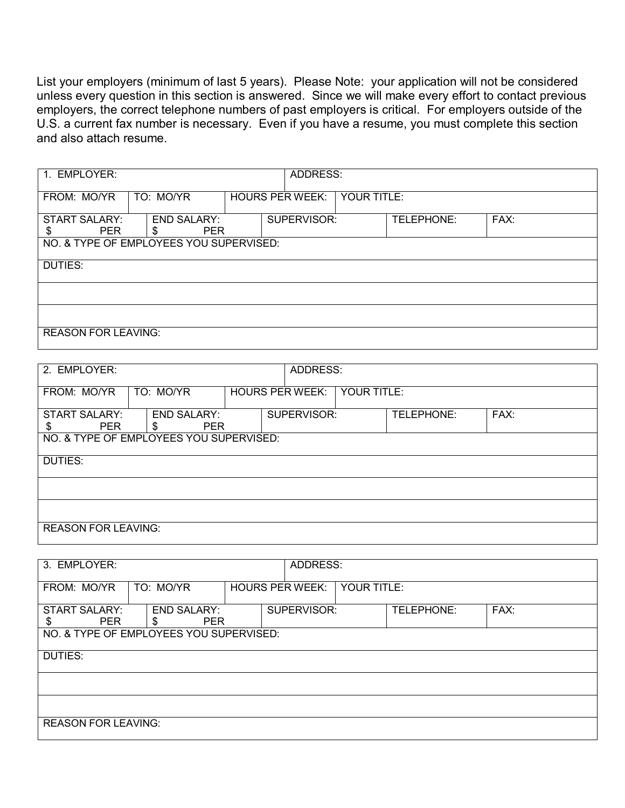List your employers (minimum of last 5 years). Please Note: your application will not be considered unless every question in this section is answered. Since we will make every effort to contact previous employers, the correct telephone numbers of past employers is critical. For employers outside of the U.S. a current fax number is necessary. Even if you have a resume, you must complete this section and also attach resume.

| 1. EMPLOYER:                       | ADDRESS:                                |                        |             |             |            |      |
|------------------------------------|-----------------------------------------|------------------------|-------------|-------------|------------|------|
| FROM: MO/YR                        | TO: MO/YR                               | <b>HOURS PER WEEK:</b> |             | YOUR TITLE: |            |      |
| <b>START SALARY:</b><br><b>PER</b> | <b>END SALARY:</b><br><b>PER</b><br>S   |                        | SUPERVISOR: |             | TELEPHONE: | FAX: |
|                                    | NO. & TYPE OF EMPLOYEES YOU SUPERVISED: |                        |             |             |            |      |
| DUTIES:                            |                                         |                        |             |             |            |      |
|                                    |                                         |                        |             |             |            |      |
|                                    |                                         |                        |             |             |            |      |
| <b>REASON FOR LEAVING:</b>         |                                         |                        |             |             |            |      |

| 2. EMPLOYER:                            |                                       |                        | ADDRESS:    |             |      |  |
|-----------------------------------------|---------------------------------------|------------------------|-------------|-------------|------|--|
| FROM: MO/YR                             | TO: MO/YR                             | <b>HOURS PER WEEK:</b> |             | YOUR TITLE: |      |  |
| <b>START SALARY:</b><br><b>PER</b>      | <b>END SALARY:</b><br><b>PER</b><br>S |                        | SUPERVISOR: | TELEPHONE:  | FAX: |  |
| NO. & TYPE OF EMPLOYEES YOU SUPERVISED: |                                       |                        |             |             |      |  |
| DUTIES:                                 |                                       |                        |             |             |      |  |
|                                         |                                       |                        |             |             |      |  |
|                                         |                                       |                        |             |             |      |  |
| <b>REASON FOR LEAVING:</b>              |                                       |                        |             |             |      |  |

| 3. EMPLOYER:                            |                                       |                        | ADDRESS:    |             |      |  |
|-----------------------------------------|---------------------------------------|------------------------|-------------|-------------|------|--|
| FROM: MO/YR                             | TO: MO/YR                             | <b>HOURS PER WEEK:</b> |             | YOUR TITLE: |      |  |
| <b>START SALARY:</b><br><b>PER</b>      | <b>END SALARY:</b><br><b>PER</b><br>S |                        | SUPERVISOR: | TELEPHONE:  | FAX: |  |
| NO. & TYPE OF EMPLOYEES YOU SUPERVISED: |                                       |                        |             |             |      |  |
| <b>DUTIES:</b>                          |                                       |                        |             |             |      |  |
|                                         |                                       |                        |             |             |      |  |
|                                         |                                       |                        |             |             |      |  |
| <b>REASON FOR LEAVING:</b>              |                                       |                        |             |             |      |  |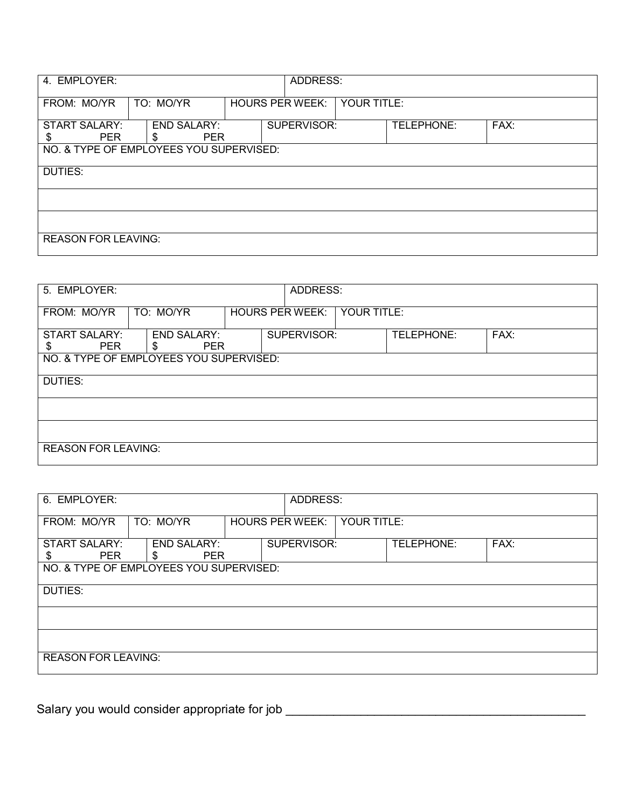| 4. EMPLOYER:                            |                                         |                        | ADDRESS: |             |            |      |
|-----------------------------------------|-----------------------------------------|------------------------|----------|-------------|------------|------|
| FROM: MO/YR                             | TO: MO/YR                               | <b>HOURS PER WEEK:</b> |          | YOUR TITLE: |            |      |
| <b>START SALARY:</b><br><b>PER</b>      | <b>END SALARY:</b><br><b>PER</b><br>\$. | SUPERVISOR:            |          |             | TELEPHONE: | FAX: |
| NO. & TYPE OF EMPLOYEES YOU SUPERVISED: |                                         |                        |          |             |            |      |
| <b>DUTIES:</b>                          |                                         |                        |          |             |            |      |
|                                         |                                         |                        |          |             |            |      |
|                                         |                                         |                        |          |             |            |      |
| <b>REASON FOR LEAVING:</b>              |                                         |                        |          |             |            |      |

| 5. EMPLOYER:                            |                                       |                        |             | ADDRESS:    |            |      |  |  |
|-----------------------------------------|---------------------------------------|------------------------|-------------|-------------|------------|------|--|--|
| FROM: MO/YR                             | TO: MO/YR                             | <b>HOURS PER WEEK:</b> |             | YOUR TITLE: |            |      |  |  |
| <b>START SALARY:</b><br><b>PER</b><br>S | <b>END SALARY:</b><br><b>PER</b><br>S |                        | SUPERVISOR: |             | TELEPHONE: | FAX: |  |  |
| NO. & TYPE OF EMPLOYEES YOU SUPERVISED: |                                       |                        |             |             |            |      |  |  |
| DUTIES:                                 |                                       |                        |             |             |            |      |  |  |
|                                         |                                       |                        |             |             |            |      |  |  |
|                                         |                                       |                        |             |             |            |      |  |  |
| <b>REASON FOR LEAVING:</b>              |                                       |                        |             |             |            |      |  |  |

| 6. EMPLOYER:                            | ADDRESS:                                |                        |  |             |            |      |
|-----------------------------------------|-----------------------------------------|------------------------|--|-------------|------------|------|
| FROM: MO/YR                             | TO: MO/YR                               | <b>HOURS PER WEEK:</b> |  | YOUR TITLE: |            |      |
| <b>START SALARY:</b><br><b>PER</b><br>S | <b>END SALARY:</b><br><b>PER</b><br>\$. | SUPERVISOR:            |  |             | TELEPHONE: | FAX: |
| NO. & TYPE OF EMPLOYEES YOU SUPERVISED: |                                         |                        |  |             |            |      |
| DUTIES:                                 |                                         |                        |  |             |            |      |
|                                         |                                         |                        |  |             |            |      |
|                                         |                                         |                        |  |             |            |      |
|                                         | <b>REASON FOR LEAVING:</b>              |                        |  |             |            |      |

Salary you would consider appropriate for job \_\_\_\_\_\_\_\_\_\_\_\_\_\_\_\_\_\_\_\_\_\_\_\_\_\_\_\_\_\_\_\_\_\_